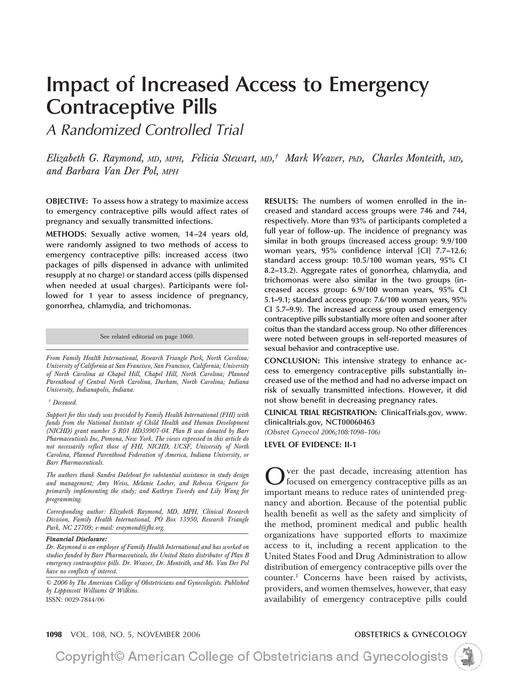# **Impact of Increased Access to Emergency Contraceptive Pills**

*A Randomized Controlled Trial*

*Elizabeth G. Raymond, MD, MPH, Felicia Stewart, MD, † Mark Weaver, PhD, Charles Monteith, MD, and Barbara Van Der Pol, MPH*

**OBJECTIVE: To assess how a strategy to maximize access to emergency contraceptive pills would affect rates of pregnancy and sexually transmitted infections.**

**METHODS: Sexually active women, 14 –24 years old, were randomly assigned to two methods of access to emergency contraceptive pills: increased access (two packages of pills dispensed in advance with unlimited resupply at no charge) or standard access (pills dispensed when needed at usual charges). Participants were followed for 1 year to assess incidence of pregnancy, gonorrhea, chlamydia, and trichomonas.**

See related editorial on page 1060.

*From Family Health International, Research Triangle Park, North Carolina; University of California at San Francisco, San Francisco, California; University of North Carolina at Chapel Hill, Chapel Hill, North Carolina; Planned Parenthood of Central North Carolina, Durham, North Carolina; Indiana University, Indianapolis, Indiana.*

#### *† Deceased.*

*Support for this study was provided by Family Health International (FHI) with funds from the National Institute of Child Health and Human Development (NICHD) grant number 5 R01 HD39907-04. Plan B was donated by Barr Pharmaceuticals Inc, Pomona, New York. The views expressed in this article do not necessarily reflect those of FHI, NICHD, UCSF, University of North Carolina, Planned Parenthood Federation of America, Indiana University, or Barr Pharmaceuticals.*

*The authors thank Sandra Dalebout for substantial assistance in study design and management; Amy Weiss, Melanie Locher, and Rebecca Griguere for primarily implementing the study; and Kathryn Tweedy and Lily Wang for programming.*

*Corresponding author: Elizabeth Raymond, MD, MPH, Clinical Research Division, Family Health International, PO Box 13950, Research Triangle Park, NC 27709; e-mail: eraymond@fhi.org.*

#### *Financial Disclosure:*

*Dr. Raymond is an employee of Family Health International and has worked on studies funded by Barr Pharmaceuticals, the United States distributor of Plan B emergency contraceptive pills. Dr. Weaver, Dr. Monteith, and Ms. Van Der Pol have no conflicts of interest.*

*© 2006 by The American College of Obstetricians and Gynecologists. Published by Lippincott Williams & Wilkins.* ISSN: 0029-7844/06

**RESULTS: The numbers of women enrolled in the increased and standard access groups were 746 and 744, respectively. More than 93% of participants completed a full year of follow-up. The incidence of pregnancy was similar in both groups (increased access group: 9.9/100 woman years, 95% confidence interval [CI] 7.7–12.6; standard access group: 10.5/100 woman years, 95% CI 8.2–13.2). Aggregate rates of gonorrhea, chlamydia, and trichomonas were also similar in the two groups (increased access group: 6.9/100 woman years, 95% CI 5.1–9.1; standard access group: 7.6/100 woman years, 95% CI 5.7–9.9). The increased access group used emergency contraceptive pills substantially more often and sooner after coitus than the standard access group. No other differences were noted between groups in self-reported measures of sexual behavior and contraceptive use.**

**CONCLUSION: This intensive strategy to enhance access to emergency contraceptive pills substantially increased use of the method and had no adverse impact on risk of sexually transmitted infections. However, it did not show benefit in decreasing pregnancy rates.**

**CLINICAL TRIAL REGISTRATION: ClinicalTrials.gov, www. clinicaltrials.gov, NCT00060463**

*(Obstet Gynecol 2006;108:1098–106)*

#### **LEVEL OF EVIDENCE: II-1**

ver the past decade, increasing attention has focused on emergency contraceptive pills as an important means to reduce rates of unintended pregnancy and abortion. Because of the potential public health benefit as well as the safety and simplicity of the method, prominent medical and public health organizations have supported efforts to maximize access to it, including a recent application to the United States Food and Drug Administration to allow distribution of emergency contraceptive pills over the counter.1 Concerns have been raised by activists, providers, and women themselves, however, that easy availability of emergency contraceptive pills could

**1098** VOL. 108, NO. 5, NOVEMBER 2006 **OBSTETRICS & GYNECOLOGY**

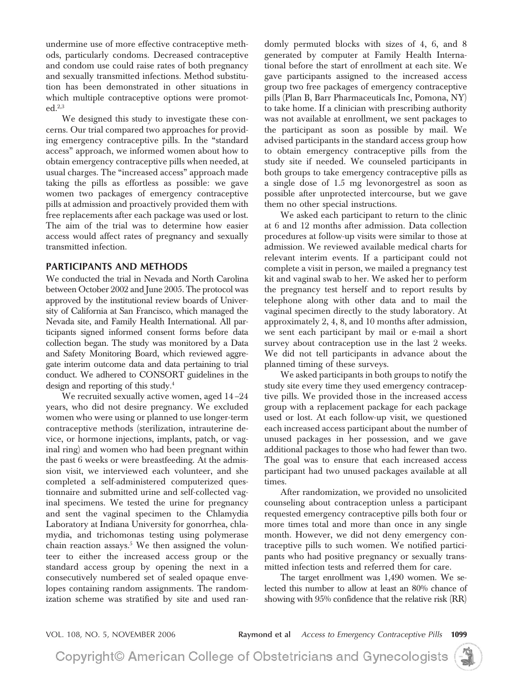undermine use of more effective contraceptive methods, particularly condoms. Decreased contraceptive and condom use could raise rates of both pregnancy and sexually transmitted infections. Method substitution has been demonstrated in other situations in which multiple contraceptive options were promoted. $^{2,3}$ 

We designed this study to investigate these concerns. Our trial compared two approaches for providing emergency contraceptive pills. In the "standard access" approach, we informed women about how to obtain emergency contraceptive pills when needed, at usual charges. The "increased access" approach made taking the pills as effortless as possible: we gave women two packages of emergency contraceptive pills at admission and proactively provided them with free replacements after each package was used or lost. The aim of the trial was to determine how easier access would affect rates of pregnancy and sexually transmitted infection.

# **PARTICIPANTS AND METHODS**

We conducted the trial in Nevada and North Carolina between October 2002 and June 2005. The protocol was approved by the institutional review boards of University of California at San Francisco, which managed the Nevada site, and Family Health International. All participants signed informed consent forms before data collection began. The study was monitored by a Data and Safety Monitoring Board, which reviewed aggregate interim outcome data and data pertaining to trial conduct. We adhered to CONSORT guidelines in the design and reporting of this study.4

We recruited sexually active women, aged 14 –24 years, who did not desire pregnancy. We excluded women who were using or planned to use longer-term contraceptive methods (sterilization, intrauterine device, or hormone injections, implants, patch, or vaginal ring) and women who had been pregnant within the past 6 weeks or were breastfeeding. At the admission visit, we interviewed each volunteer, and she completed a self-administered computerized questionnaire and submitted urine and self-collected vaginal specimens. We tested the urine for pregnancy and sent the vaginal specimen to the Chlamydia Laboratory at Indiana University for gonorrhea, chlamydia, and trichomonas testing using polymerase chain reaction assays. $5$  We then assigned the volunteer to either the increased access group or the standard access group by opening the next in a consecutively numbered set of sealed opaque envelopes containing random assignments. The randomization scheme was stratified by site and used randomly permuted blocks with sizes of 4, 6, and 8 generated by computer at Family Health International before the start of enrollment at each site. We gave participants assigned to the increased access group two free packages of emergency contraceptive pills (Plan B, Barr Pharmaceuticals Inc, Pomona, NY) to take home. If a clinician with prescribing authority was not available at enrollment, we sent packages to the participant as soon as possible by mail. We advised participants in the standard access group how to obtain emergency contraceptive pills from the study site if needed. We counseled participants in both groups to take emergency contraceptive pills as a single dose of 1.5 mg levonorgestrel as soon as possible after unprotected intercourse, but we gave them no other special instructions.

We asked each participant to return to the clinic at 6 and 12 months after admission. Data collection procedures at follow-up visits were similar to those at admission. We reviewed available medical charts for relevant interim events. If a participant could not complete a visit in person, we mailed a pregnancy test kit and vaginal swab to her. We asked her to perform the pregnancy test herself and to report results by telephone along with other data and to mail the vaginal specimen directly to the study laboratory. At approximately 2, 4, 8, and 10 months after admission, we sent each participant by mail or e-mail a short survey about contraception use in the last 2 weeks. We did not tell participants in advance about the planned timing of these surveys.

We asked participants in both groups to notify the study site every time they used emergency contraceptive pills. We provided those in the increased access group with a replacement package for each package used or lost. At each follow-up visit, we questioned each increased access participant about the number of unused packages in her possession, and we gave additional packages to those who had fewer than two. The goal was to ensure that each increased access participant had two unused packages available at all times.

After randomization, we provided no unsolicited counseling about contraception unless a participant requested emergency contraceptive pills both four or more times total and more than once in any single month. However, we did not deny emergency contraceptive pills to such women. We notified participants who had positive pregnancy or sexually transmitted infection tests and referred them for care.

The target enrollment was 1,490 women. We selected this number to allow at least an 80% chance of showing with 95% confidence that the relative risk (RR)

VOL. 108, NO. 5, NOVEMBER 2006 **Raymond et al** *Access to Emergency Contraceptive Pills* **1099**

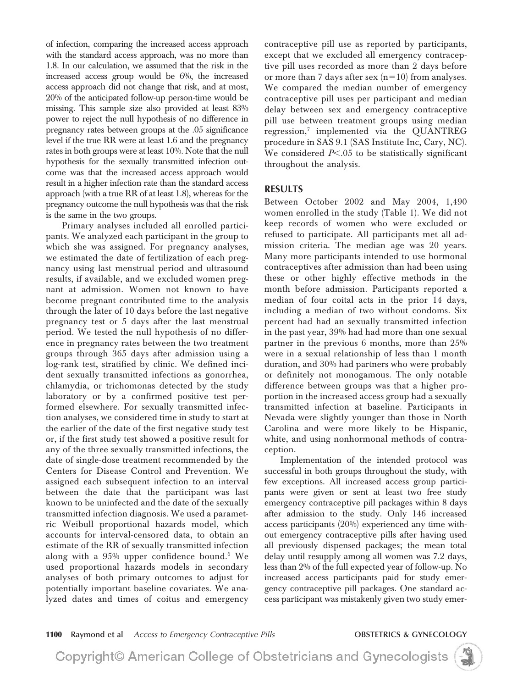of infection, comparing the increased access approach with the standard access approach, was no more than 1.8. In our calculation, we assumed that the risk in the increased access group would be 6%, the increased access approach did not change that risk, and at most, 20% of the anticipated follow-up person-time would be missing. This sample size also provided at least 83% power to reject the null hypothesis of no difference in pregnancy rates between groups at the .05 significance level if the true RR were at least 1.6 and the pregnancy rates in both groups were at least 10%. Note that the null hypothesis for the sexually transmitted infection outcome was that the increased access approach would result in a higher infection rate than the standard access approach (with a true RR of at least 1.8), whereas for the pregnancy outcome the null hypothesis was that the risk is the same in the two groups.

Primary analyses included all enrolled participants. We analyzed each participant in the group to which she was assigned. For pregnancy analyses, we estimated the date of fertilization of each pregnancy using last menstrual period and ultrasound results, if available, and we excluded women pregnant at admission. Women not known to have become pregnant contributed time to the analysis through the later of 10 days before the last negative pregnancy test or 5 days after the last menstrual period. We tested the null hypothesis of no difference in pregnancy rates between the two treatment groups through 365 days after admission using a log-rank test, stratified by clinic. We defined incident sexually transmitted infections as gonorrhea, chlamydia, or trichomonas detected by the study laboratory or by a confirmed positive test performed elsewhere. For sexually transmitted infection analyses, we considered time in study to start at the earlier of the date of the first negative study test or, if the first study test showed a positive result for any of the three sexually transmitted infections, the date of single-dose treatment recommended by the Centers for Disease Control and Prevention. We assigned each subsequent infection to an interval between the date that the participant was last known to be uninfected and the date of the sexually transmitted infection diagnosis. We used a parametric Weibull proportional hazards model, which accounts for interval-censored data, to obtain an estimate of the RR of sexually transmitted infection along with a  $95\%$  upper confidence bound.<sup>6</sup> We used proportional hazards models in secondary analyses of both primary outcomes to adjust for potentially important baseline covariates. We analyzed dates and times of coitus and emergency contraceptive pill use as reported by participants, except that we excluded all emergency contraceptive pill uses recorded as more than 2 days before or more than 7 days after sex  $(n=10)$  from analyses. We compared the median number of emergency contraceptive pill uses per participant and median delay between sex and emergency contraceptive pill use between treatment groups using median regression,<sup>7</sup> implemented via the QUANTREG procedure in SAS 9.1 (SAS Institute Inc, Cary, NC). We considered P<.05 to be statistically significant throughout the analysis.

## **RESULTS**

Between October 2002 and May 2004, 1,490 women enrolled in the study (Table 1). We did not keep records of women who were excluded or refused to participate. All participants met all admission criteria. The median age was 20 years. Many more participants intended to use hormonal contraceptives after admission than had been using these or other highly effective methods in the month before admission. Participants reported a median of four coital acts in the prior 14 days, including a median of two without condoms. Six percent had had an sexually transmitted infection in the past year, 39% had had more than one sexual partner in the previous 6 months, more than 25% were in a sexual relationship of less than 1 month duration, and 30% had partners who were probably or definitely not monogamous. The only notable difference between groups was that a higher proportion in the increased access group had a sexually transmitted infection at baseline. Participants in Nevada were slightly younger than those in North Carolina and were more likely to be Hispanic, white, and using nonhormonal methods of contraception.

Implementation of the intended protocol was successful in both groups throughout the study, with few exceptions. All increased access group participants were given or sent at least two free study emergency contraceptive pill packages within 8 days after admission to the study. Only 146 increased access participants (20%) experienced any time without emergency contraceptive pills after having used all previously dispensed packages; the mean total delay until resupply among all women was 7.2 days, less than 2% of the full expected year of follow-up. No increased access participants paid for study emergency contraceptive pill packages. One standard access participant was mistakenly given two study emer-

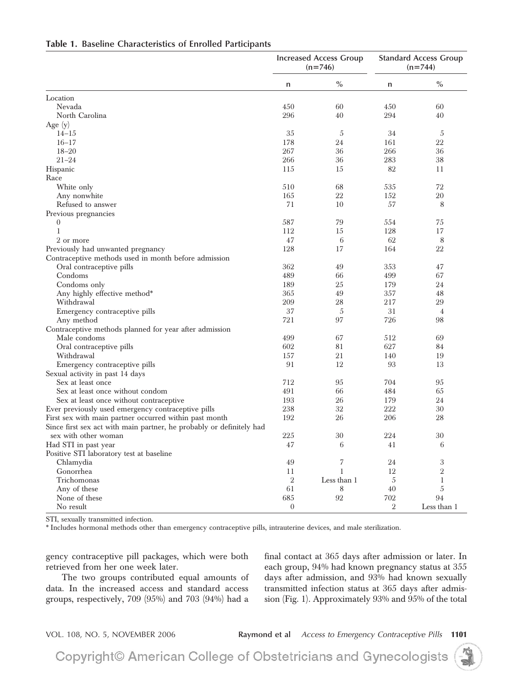| $\%$<br>$\%$<br>n<br>n<br>Location<br>Nevada<br>450<br>60<br>450<br>60<br>296<br>North Carolina<br>40<br>294<br>40<br>Age $(y)$<br>$14 - 15$<br>35<br>5<br>34<br>5<br>24<br>22<br>$16 - 17$<br>178<br>161<br>$18 - 20$<br>267<br>36<br>266<br>36<br>283<br>$21 - 24$<br>266<br>36<br>38<br>82<br>Hispanic<br>115<br>15<br>11<br>Race<br>72<br>510<br>68<br>535<br>White only<br>165<br>22<br>152<br>20<br>Any nonwhite<br>71<br>57<br>Refused to answer<br>10<br>8<br>Previous pregnancies<br>79<br>587<br>554<br>75<br>$\boldsymbol{0}$<br>$\mathbf{1}$<br>128<br>17<br>112<br>15<br>47<br>6<br>62<br>8<br>2 or more<br>128<br>22<br>Previously had unwanted pregnancy<br>17<br>164<br>Contraceptive methods used in month before admission<br>362<br>49<br>353<br>47<br>Oral contraceptive pills<br>Condoms<br>489<br>499<br>66<br>67<br>25<br>Condoms only<br>189<br>179<br>24<br>49<br>Any highly effective method*<br>365<br>357<br>48<br>Withdrawal<br>209<br>28<br>217<br>29<br>37<br>31<br>5<br>$\overline{4}$<br>Emergency contraceptive pills<br>721<br>97<br>726<br>98<br>Any method<br>Contraceptive methods planned for year after admission<br>499<br>69<br>Male condoms<br>67<br>512<br>602<br>81<br>627<br>84<br>Oral contraceptive pills<br>157<br>21<br>Withdrawal<br>140<br>19<br>91<br>12<br>93<br>Emergency contraceptive pills<br>13<br>Sexual activity in past 14 days<br>712<br>95<br>Sex at least once<br>95<br>704<br>Sex at least once without condom<br>491<br>66<br>484<br>65<br>26<br>179<br>24<br>Sex at least once without contraceptive<br>193<br>238<br>32<br>222<br>30<br>Ever previously used emergency contraceptive pills<br>192<br>26<br>206<br>28<br>First sex with main partner occurred within past month<br>Since first sex act with main partner, he probably or definitely had<br>30<br>224<br>30<br>sex with other woman<br>225<br>47<br>6<br>6<br>Had STI in past year<br>41<br>Positive STI laboratory test at baseline<br>7<br>3<br>49<br>24<br>Chlamydia<br>$\overline{2}$<br>12<br>Gonorrhea<br>11<br>$\mathbf{1}$<br>$\overline{2}$<br>Less than 1<br>5<br>$\mathbf{1}$<br>Trichomonas<br>40<br>5<br>Any of these<br>61<br>8<br>None of these<br>685<br>92<br>702<br>94<br>$\overline{2}$<br>$\mathbf{0}$<br>No result<br>Less than 1 | <b>Increased Access Group</b><br>$(n=746)$ |  | <b>Standard Access Group</b><br>$(n=744)$ |
|-------------------------------------------------------------------------------------------------------------------------------------------------------------------------------------------------------------------------------------------------------------------------------------------------------------------------------------------------------------------------------------------------------------------------------------------------------------------------------------------------------------------------------------------------------------------------------------------------------------------------------------------------------------------------------------------------------------------------------------------------------------------------------------------------------------------------------------------------------------------------------------------------------------------------------------------------------------------------------------------------------------------------------------------------------------------------------------------------------------------------------------------------------------------------------------------------------------------------------------------------------------------------------------------------------------------------------------------------------------------------------------------------------------------------------------------------------------------------------------------------------------------------------------------------------------------------------------------------------------------------------------------------------------------------------------------------------------------------------------------------------------------------------------------------------------------------------------------------------------------------------------------------------------------------------------------------------------------------------------------------------------------------------------------------------------------------------------------------------------------------------------------------------------------------------------------------------------------------------------------------------------------------------------------|--------------------------------------------|--|-------------------------------------------|
|                                                                                                                                                                                                                                                                                                                                                                                                                                                                                                                                                                                                                                                                                                                                                                                                                                                                                                                                                                                                                                                                                                                                                                                                                                                                                                                                                                                                                                                                                                                                                                                                                                                                                                                                                                                                                                                                                                                                                                                                                                                                                                                                                                                                                                                                                           |                                            |  |                                           |
|                                                                                                                                                                                                                                                                                                                                                                                                                                                                                                                                                                                                                                                                                                                                                                                                                                                                                                                                                                                                                                                                                                                                                                                                                                                                                                                                                                                                                                                                                                                                                                                                                                                                                                                                                                                                                                                                                                                                                                                                                                                                                                                                                                                                                                                                                           |                                            |  |                                           |
|                                                                                                                                                                                                                                                                                                                                                                                                                                                                                                                                                                                                                                                                                                                                                                                                                                                                                                                                                                                                                                                                                                                                                                                                                                                                                                                                                                                                                                                                                                                                                                                                                                                                                                                                                                                                                                                                                                                                                                                                                                                                                                                                                                                                                                                                                           |                                            |  |                                           |
|                                                                                                                                                                                                                                                                                                                                                                                                                                                                                                                                                                                                                                                                                                                                                                                                                                                                                                                                                                                                                                                                                                                                                                                                                                                                                                                                                                                                                                                                                                                                                                                                                                                                                                                                                                                                                                                                                                                                                                                                                                                                                                                                                                                                                                                                                           |                                            |  |                                           |
|                                                                                                                                                                                                                                                                                                                                                                                                                                                                                                                                                                                                                                                                                                                                                                                                                                                                                                                                                                                                                                                                                                                                                                                                                                                                                                                                                                                                                                                                                                                                                                                                                                                                                                                                                                                                                                                                                                                                                                                                                                                                                                                                                                                                                                                                                           |                                            |  |                                           |
|                                                                                                                                                                                                                                                                                                                                                                                                                                                                                                                                                                                                                                                                                                                                                                                                                                                                                                                                                                                                                                                                                                                                                                                                                                                                                                                                                                                                                                                                                                                                                                                                                                                                                                                                                                                                                                                                                                                                                                                                                                                                                                                                                                                                                                                                                           |                                            |  |                                           |
|                                                                                                                                                                                                                                                                                                                                                                                                                                                                                                                                                                                                                                                                                                                                                                                                                                                                                                                                                                                                                                                                                                                                                                                                                                                                                                                                                                                                                                                                                                                                                                                                                                                                                                                                                                                                                                                                                                                                                                                                                                                                                                                                                                                                                                                                                           |                                            |  |                                           |
|                                                                                                                                                                                                                                                                                                                                                                                                                                                                                                                                                                                                                                                                                                                                                                                                                                                                                                                                                                                                                                                                                                                                                                                                                                                                                                                                                                                                                                                                                                                                                                                                                                                                                                                                                                                                                                                                                                                                                                                                                                                                                                                                                                                                                                                                                           |                                            |  |                                           |
|                                                                                                                                                                                                                                                                                                                                                                                                                                                                                                                                                                                                                                                                                                                                                                                                                                                                                                                                                                                                                                                                                                                                                                                                                                                                                                                                                                                                                                                                                                                                                                                                                                                                                                                                                                                                                                                                                                                                                                                                                                                                                                                                                                                                                                                                                           |                                            |  |                                           |
|                                                                                                                                                                                                                                                                                                                                                                                                                                                                                                                                                                                                                                                                                                                                                                                                                                                                                                                                                                                                                                                                                                                                                                                                                                                                                                                                                                                                                                                                                                                                                                                                                                                                                                                                                                                                                                                                                                                                                                                                                                                                                                                                                                                                                                                                                           |                                            |  |                                           |
|                                                                                                                                                                                                                                                                                                                                                                                                                                                                                                                                                                                                                                                                                                                                                                                                                                                                                                                                                                                                                                                                                                                                                                                                                                                                                                                                                                                                                                                                                                                                                                                                                                                                                                                                                                                                                                                                                                                                                                                                                                                                                                                                                                                                                                                                                           |                                            |  |                                           |
|                                                                                                                                                                                                                                                                                                                                                                                                                                                                                                                                                                                                                                                                                                                                                                                                                                                                                                                                                                                                                                                                                                                                                                                                                                                                                                                                                                                                                                                                                                                                                                                                                                                                                                                                                                                                                                                                                                                                                                                                                                                                                                                                                                                                                                                                                           |                                            |  |                                           |
|                                                                                                                                                                                                                                                                                                                                                                                                                                                                                                                                                                                                                                                                                                                                                                                                                                                                                                                                                                                                                                                                                                                                                                                                                                                                                                                                                                                                                                                                                                                                                                                                                                                                                                                                                                                                                                                                                                                                                                                                                                                                                                                                                                                                                                                                                           |                                            |  |                                           |
|                                                                                                                                                                                                                                                                                                                                                                                                                                                                                                                                                                                                                                                                                                                                                                                                                                                                                                                                                                                                                                                                                                                                                                                                                                                                                                                                                                                                                                                                                                                                                                                                                                                                                                                                                                                                                                                                                                                                                                                                                                                                                                                                                                                                                                                                                           |                                            |  |                                           |
|                                                                                                                                                                                                                                                                                                                                                                                                                                                                                                                                                                                                                                                                                                                                                                                                                                                                                                                                                                                                                                                                                                                                                                                                                                                                                                                                                                                                                                                                                                                                                                                                                                                                                                                                                                                                                                                                                                                                                                                                                                                                                                                                                                                                                                                                                           |                                            |  |                                           |
|                                                                                                                                                                                                                                                                                                                                                                                                                                                                                                                                                                                                                                                                                                                                                                                                                                                                                                                                                                                                                                                                                                                                                                                                                                                                                                                                                                                                                                                                                                                                                                                                                                                                                                                                                                                                                                                                                                                                                                                                                                                                                                                                                                                                                                                                                           |                                            |  |                                           |
|                                                                                                                                                                                                                                                                                                                                                                                                                                                                                                                                                                                                                                                                                                                                                                                                                                                                                                                                                                                                                                                                                                                                                                                                                                                                                                                                                                                                                                                                                                                                                                                                                                                                                                                                                                                                                                                                                                                                                                                                                                                                                                                                                                                                                                                                                           |                                            |  |                                           |
|                                                                                                                                                                                                                                                                                                                                                                                                                                                                                                                                                                                                                                                                                                                                                                                                                                                                                                                                                                                                                                                                                                                                                                                                                                                                                                                                                                                                                                                                                                                                                                                                                                                                                                                                                                                                                                                                                                                                                                                                                                                                                                                                                                                                                                                                                           |                                            |  |                                           |
|                                                                                                                                                                                                                                                                                                                                                                                                                                                                                                                                                                                                                                                                                                                                                                                                                                                                                                                                                                                                                                                                                                                                                                                                                                                                                                                                                                                                                                                                                                                                                                                                                                                                                                                                                                                                                                                                                                                                                                                                                                                                                                                                                                                                                                                                                           |                                            |  |                                           |
|                                                                                                                                                                                                                                                                                                                                                                                                                                                                                                                                                                                                                                                                                                                                                                                                                                                                                                                                                                                                                                                                                                                                                                                                                                                                                                                                                                                                                                                                                                                                                                                                                                                                                                                                                                                                                                                                                                                                                                                                                                                                                                                                                                                                                                                                                           |                                            |  |                                           |
|                                                                                                                                                                                                                                                                                                                                                                                                                                                                                                                                                                                                                                                                                                                                                                                                                                                                                                                                                                                                                                                                                                                                                                                                                                                                                                                                                                                                                                                                                                                                                                                                                                                                                                                                                                                                                                                                                                                                                                                                                                                                                                                                                                                                                                                                                           |                                            |  |                                           |
|                                                                                                                                                                                                                                                                                                                                                                                                                                                                                                                                                                                                                                                                                                                                                                                                                                                                                                                                                                                                                                                                                                                                                                                                                                                                                                                                                                                                                                                                                                                                                                                                                                                                                                                                                                                                                                                                                                                                                                                                                                                                                                                                                                                                                                                                                           |                                            |  |                                           |
|                                                                                                                                                                                                                                                                                                                                                                                                                                                                                                                                                                                                                                                                                                                                                                                                                                                                                                                                                                                                                                                                                                                                                                                                                                                                                                                                                                                                                                                                                                                                                                                                                                                                                                                                                                                                                                                                                                                                                                                                                                                                                                                                                                                                                                                                                           |                                            |  |                                           |
|                                                                                                                                                                                                                                                                                                                                                                                                                                                                                                                                                                                                                                                                                                                                                                                                                                                                                                                                                                                                                                                                                                                                                                                                                                                                                                                                                                                                                                                                                                                                                                                                                                                                                                                                                                                                                                                                                                                                                                                                                                                                                                                                                                                                                                                                                           |                                            |  |                                           |
|                                                                                                                                                                                                                                                                                                                                                                                                                                                                                                                                                                                                                                                                                                                                                                                                                                                                                                                                                                                                                                                                                                                                                                                                                                                                                                                                                                                                                                                                                                                                                                                                                                                                                                                                                                                                                                                                                                                                                                                                                                                                                                                                                                                                                                                                                           |                                            |  |                                           |
|                                                                                                                                                                                                                                                                                                                                                                                                                                                                                                                                                                                                                                                                                                                                                                                                                                                                                                                                                                                                                                                                                                                                                                                                                                                                                                                                                                                                                                                                                                                                                                                                                                                                                                                                                                                                                                                                                                                                                                                                                                                                                                                                                                                                                                                                                           |                                            |  |                                           |
|                                                                                                                                                                                                                                                                                                                                                                                                                                                                                                                                                                                                                                                                                                                                                                                                                                                                                                                                                                                                                                                                                                                                                                                                                                                                                                                                                                                                                                                                                                                                                                                                                                                                                                                                                                                                                                                                                                                                                                                                                                                                                                                                                                                                                                                                                           |                                            |  |                                           |
|                                                                                                                                                                                                                                                                                                                                                                                                                                                                                                                                                                                                                                                                                                                                                                                                                                                                                                                                                                                                                                                                                                                                                                                                                                                                                                                                                                                                                                                                                                                                                                                                                                                                                                                                                                                                                                                                                                                                                                                                                                                                                                                                                                                                                                                                                           |                                            |  |                                           |
|                                                                                                                                                                                                                                                                                                                                                                                                                                                                                                                                                                                                                                                                                                                                                                                                                                                                                                                                                                                                                                                                                                                                                                                                                                                                                                                                                                                                                                                                                                                                                                                                                                                                                                                                                                                                                                                                                                                                                                                                                                                                                                                                                                                                                                                                                           |                                            |  |                                           |
|                                                                                                                                                                                                                                                                                                                                                                                                                                                                                                                                                                                                                                                                                                                                                                                                                                                                                                                                                                                                                                                                                                                                                                                                                                                                                                                                                                                                                                                                                                                                                                                                                                                                                                                                                                                                                                                                                                                                                                                                                                                                                                                                                                                                                                                                                           |                                            |  |                                           |
|                                                                                                                                                                                                                                                                                                                                                                                                                                                                                                                                                                                                                                                                                                                                                                                                                                                                                                                                                                                                                                                                                                                                                                                                                                                                                                                                                                                                                                                                                                                                                                                                                                                                                                                                                                                                                                                                                                                                                                                                                                                                                                                                                                                                                                                                                           |                                            |  |                                           |
|                                                                                                                                                                                                                                                                                                                                                                                                                                                                                                                                                                                                                                                                                                                                                                                                                                                                                                                                                                                                                                                                                                                                                                                                                                                                                                                                                                                                                                                                                                                                                                                                                                                                                                                                                                                                                                                                                                                                                                                                                                                                                                                                                                                                                                                                                           |                                            |  |                                           |
|                                                                                                                                                                                                                                                                                                                                                                                                                                                                                                                                                                                                                                                                                                                                                                                                                                                                                                                                                                                                                                                                                                                                                                                                                                                                                                                                                                                                                                                                                                                                                                                                                                                                                                                                                                                                                                                                                                                                                                                                                                                                                                                                                                                                                                                                                           |                                            |  |                                           |
|                                                                                                                                                                                                                                                                                                                                                                                                                                                                                                                                                                                                                                                                                                                                                                                                                                                                                                                                                                                                                                                                                                                                                                                                                                                                                                                                                                                                                                                                                                                                                                                                                                                                                                                                                                                                                                                                                                                                                                                                                                                                                                                                                                                                                                                                                           |                                            |  |                                           |
|                                                                                                                                                                                                                                                                                                                                                                                                                                                                                                                                                                                                                                                                                                                                                                                                                                                                                                                                                                                                                                                                                                                                                                                                                                                                                                                                                                                                                                                                                                                                                                                                                                                                                                                                                                                                                                                                                                                                                                                                                                                                                                                                                                                                                                                                                           |                                            |  |                                           |
|                                                                                                                                                                                                                                                                                                                                                                                                                                                                                                                                                                                                                                                                                                                                                                                                                                                                                                                                                                                                                                                                                                                                                                                                                                                                                                                                                                                                                                                                                                                                                                                                                                                                                                                                                                                                                                                                                                                                                                                                                                                                                                                                                                                                                                                                                           |                                            |  |                                           |
|                                                                                                                                                                                                                                                                                                                                                                                                                                                                                                                                                                                                                                                                                                                                                                                                                                                                                                                                                                                                                                                                                                                                                                                                                                                                                                                                                                                                                                                                                                                                                                                                                                                                                                                                                                                                                                                                                                                                                                                                                                                                                                                                                                                                                                                                                           |                                            |  |                                           |
|                                                                                                                                                                                                                                                                                                                                                                                                                                                                                                                                                                                                                                                                                                                                                                                                                                                                                                                                                                                                                                                                                                                                                                                                                                                                                                                                                                                                                                                                                                                                                                                                                                                                                                                                                                                                                                                                                                                                                                                                                                                                                                                                                                                                                                                                                           |                                            |  |                                           |
|                                                                                                                                                                                                                                                                                                                                                                                                                                                                                                                                                                                                                                                                                                                                                                                                                                                                                                                                                                                                                                                                                                                                                                                                                                                                                                                                                                                                                                                                                                                                                                                                                                                                                                                                                                                                                                                                                                                                                                                                                                                                                                                                                                                                                                                                                           |                                            |  |                                           |
|                                                                                                                                                                                                                                                                                                                                                                                                                                                                                                                                                                                                                                                                                                                                                                                                                                                                                                                                                                                                                                                                                                                                                                                                                                                                                                                                                                                                                                                                                                                                                                                                                                                                                                                                                                                                                                                                                                                                                                                                                                                                                                                                                                                                                                                                                           |                                            |  |                                           |
|                                                                                                                                                                                                                                                                                                                                                                                                                                                                                                                                                                                                                                                                                                                                                                                                                                                                                                                                                                                                                                                                                                                                                                                                                                                                                                                                                                                                                                                                                                                                                                                                                                                                                                                                                                                                                                                                                                                                                                                                                                                                                                                                                                                                                                                                                           |                                            |  |                                           |
|                                                                                                                                                                                                                                                                                                                                                                                                                                                                                                                                                                                                                                                                                                                                                                                                                                                                                                                                                                                                                                                                                                                                                                                                                                                                                                                                                                                                                                                                                                                                                                                                                                                                                                                                                                                                                                                                                                                                                                                                                                                                                                                                                                                                                                                                                           |                                            |  |                                           |
|                                                                                                                                                                                                                                                                                                                                                                                                                                                                                                                                                                                                                                                                                                                                                                                                                                                                                                                                                                                                                                                                                                                                                                                                                                                                                                                                                                                                                                                                                                                                                                                                                                                                                                                                                                                                                                                                                                                                                                                                                                                                                                                                                                                                                                                                                           |                                            |  |                                           |
|                                                                                                                                                                                                                                                                                                                                                                                                                                                                                                                                                                                                                                                                                                                                                                                                                                                                                                                                                                                                                                                                                                                                                                                                                                                                                                                                                                                                                                                                                                                                                                                                                                                                                                                                                                                                                                                                                                                                                                                                                                                                                                                                                                                                                                                                                           |                                            |  |                                           |
|                                                                                                                                                                                                                                                                                                                                                                                                                                                                                                                                                                                                                                                                                                                                                                                                                                                                                                                                                                                                                                                                                                                                                                                                                                                                                                                                                                                                                                                                                                                                                                                                                                                                                                                                                                                                                                                                                                                                                                                                                                                                                                                                                                                                                                                                                           |                                            |  |                                           |
|                                                                                                                                                                                                                                                                                                                                                                                                                                                                                                                                                                                                                                                                                                                                                                                                                                                                                                                                                                                                                                                                                                                                                                                                                                                                                                                                                                                                                                                                                                                                                                                                                                                                                                                                                                                                                                                                                                                                                                                                                                                                                                                                                                                                                                                                                           |                                            |  |                                           |
|                                                                                                                                                                                                                                                                                                                                                                                                                                                                                                                                                                                                                                                                                                                                                                                                                                                                                                                                                                                                                                                                                                                                                                                                                                                                                                                                                                                                                                                                                                                                                                                                                                                                                                                                                                                                                                                                                                                                                                                                                                                                                                                                                                                                                                                                                           |                                            |  |                                           |

### **Table 1. Baseline Characteristics of Enrolled Participants**

STI, sexually transmitted infection.

\* Includes hormonal methods other than emergency contraceptive pills, intrauterine devices, and male sterilization.

gency contraceptive pill packages, which were both retrieved from her one week later.

The two groups contributed equal amounts of data. In the increased access and standard access groups, respectively, 709 (95%) and 703 (94%) had a

final contact at 365 days after admission or later. In each group, 94% had known pregnancy status at 355 days after admission, and 93% had known sexually transmitted infection status at 365 days after admission (Fig. 1). Approximately 93% and 95% of the total

VOL. 108, NO. 5, NOVEMBER 2006 **Raymond et al** *Access to Emergency Contraceptive Pills* **1101**

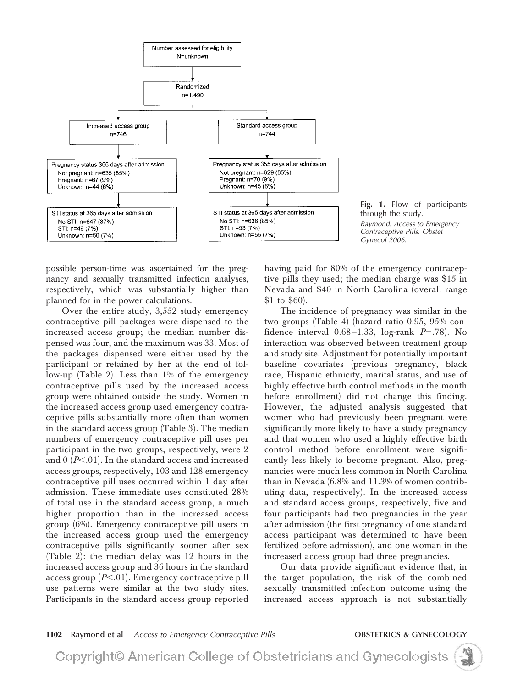



possible person-time was ascertained for the pregnancy and sexually transmitted infection analyses, respectively, which was substantially higher than planned for in the power calculations.

Over the entire study, 3,552 study emergency contraceptive pill packages were dispensed to the increased access group; the median number dispensed was four, and the maximum was 33. Most of the packages dispensed were either used by the participant or retained by her at the end of follow-up (Table 2). Less than 1% of the emergency contraceptive pills used by the increased access group were obtained outside the study. Women in the increased access group used emergency contraceptive pills substantially more often than women in the standard access group (Table 3). The median numbers of emergency contraceptive pill uses per participant in the two groups, respectively, were 2 and  $0$   $(P<.01)$ . In the standard access and increased access groups, respectively, 103 and 128 emergency contraceptive pill uses occurred within 1 day after admission. These immediate uses constituted 28% of total use in the standard access group, a much higher proportion than in the increased access group (6%). Emergency contraceptive pill users in the increased access group used the emergency contraceptive pills significantly sooner after sex (Table 2): the median delay was 12 hours in the increased access group and 36 hours in the standard access group (*P*-.01). Emergency contraceptive pill use patterns were similar at the two study sites. Participants in the standard access group reported

having paid for 80% of the emergency contraceptive pills they used; the median charge was \$15 in Nevada and \$40 in North Carolina (overall range \$1 to \$60).

The incidence of pregnancy was similar in the two groups (Table 4) (hazard ratio 0.95, 95% confidence interval  $0.68 - 1.33$ , log-rank  $P = .78$ ). No interaction was observed between treatment group and study site. Adjustment for potentially important baseline covariates (previous pregnancy, black race, Hispanic ethnicity, marital status, and use of highly effective birth control methods in the month before enrollment) did not change this finding. However, the adjusted analysis suggested that women who had previously been pregnant were significantly more likely to have a study pregnancy and that women who used a highly effective birth control method before enrollment were significantly less likely to become pregnant. Also, pregnancies were much less common in North Carolina than in Nevada (6.8% and 11.3% of women contributing data, respectively). In the increased access and standard access groups, respectively, five and four participants had two pregnancies in the year after admission (the first pregnancy of one standard access participant was determined to have been fertilized before admission), and one woman in the increased access group had three pregnancies.

Our data provide significant evidence that, in the target population, the risk of the combined sexually transmitted infection outcome using the increased access approach is not substantially

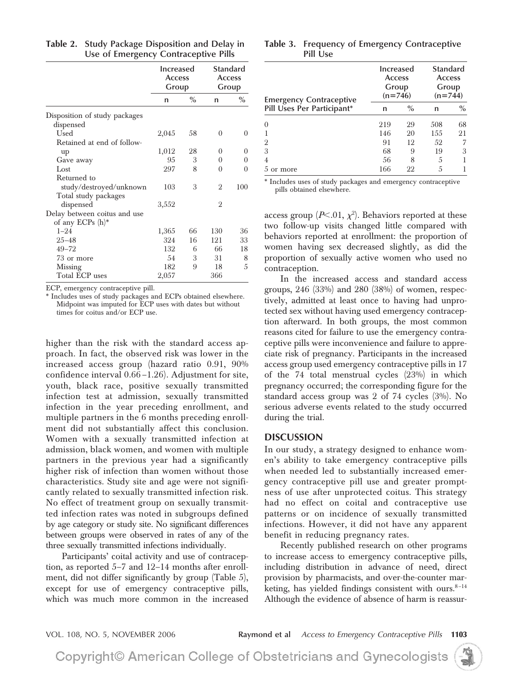|                               | Increased<br><b>Access</b><br>Group |      | <b>Standard</b><br><b>Access</b><br>Group |          |
|-------------------------------|-------------------------------------|------|-------------------------------------------|----------|
|                               | n                                   | $\%$ | n                                         | $\%$     |
| Disposition of study packages |                                     |      |                                           |          |
| dispensed                     |                                     |      |                                           |          |
| Used                          | 2,045                               | 58   | $\Omega$                                  | $\theta$ |
| Retained at end of follow-    |                                     |      |                                           |          |
| up                            | 1,012                               | 28   | 0                                         | 0        |
| Gave away                     | 95                                  | 3    | $\theta$                                  | $\theta$ |
| Lost                          | 297                                 | 8    | $\Omega$                                  | $\theta$ |
| Returned to                   |                                     |      |                                           |          |
| study/destroyed/unknown       | 103                                 | 3    | $\mathcal{D}_{1}$                         | 100      |
| Total study packages          |                                     |      |                                           |          |
| dispensed                     | 3,552                               |      | $\overline{2}$                            |          |
| Delay between coitus and use  |                                     |      |                                           |          |
| of any ECPs (h)*              |                                     |      |                                           |          |
| $1 - 24$                      | 1,365                               | 66   | 130                                       | 36       |
| $25 - 48$                     | 324                                 | 16   | 121                                       | 33       |
| $49 - 72$                     | 132                                 | 6    | 66                                        | 18       |
| 73 or more                    | 54                                  | 3    | 31                                        | 8        |
| <b>Missing</b>                | 182                                 | 9    | 18                                        | 5        |
| Total ECP uses                | 2,057                               |      | 366                                       |          |

**Table 2. Study Package Disposition and Delay in Use of Emergency Contraceptive Pills**

ECP, emergency contraceptive pill.

\* Includes uses of study packages and ECPs obtained elsewhere. Midpoint was imputed for ECP uses with dates but without times for coitus and/or ECP use.

higher than the risk with the standard access approach. In fact, the observed risk was lower in the increased access group (hazard ratio 0.91, 90% confidence interval 0.66 –1.26). Adjustment for site, youth, black race, positive sexually transmitted infection test at admission, sexually transmitted infection in the year preceding enrollment, and multiple partners in the 6 months preceding enrollment did not substantially affect this conclusion. Women with a sexually transmitted infection at admission, black women, and women with multiple partners in the previous year had a significantly higher risk of infection than women without those characteristics. Study site and age were not significantly related to sexually transmitted infection risk. No effect of treatment group on sexually transmitted infection rates was noted in subgroups defined by age category or study site. No significant differences between groups were observed in rates of any of the three sexually transmitted infections individually.

Participants' coital activity and use of contraception, as reported 5–7 and 12–14 months after enrollment, did not differ significantly by group (Table 5), except for use of emergency contraceptive pills, which was much more common in the increased

**Table 3. Frequency of Emergency Contraceptive Pill Use**

| <b>Emergency Contraceptive</b><br>Pill Uses Per Participant* | Increased<br><b>Access</b><br>Group<br>$(n=746)$ |      | Standard<br><b>Access</b><br>Group<br>$(n=744)$ |      |  |
|--------------------------------------------------------------|--------------------------------------------------|------|-------------------------------------------------|------|--|
|                                                              | n                                                | $\%$ | n                                               | $\%$ |  |
| $\Omega$                                                     | 219                                              | 29   | 508                                             | 68   |  |
|                                                              | 146                                              | 20   | 1.55                                            | 21   |  |
| $\overline{2}$                                               | 91                                               | 12   | 52                                              | 7    |  |
| 3                                                            | 68                                               | 9    | 19                                              | 3    |  |
| 4                                                            | 56                                               | 8    | 5                                               |      |  |
| or more<br>.h                                                | 166                                              | 22   | 5                                               |      |  |

\* Includes uses of study packages and emergency contraceptive pills obtained elsewhere.

access group (*P*<.01,  $\chi^2$ ). Behaviors reported at these two follow-up visits changed little compared with behaviors reported at enrollment: the proportion of women having sex decreased slightly, as did the proportion of sexually active women who used no contraception.

In the increased access and standard access groups, 246 (33%) and 280 (38%) of women, respectively, admitted at least once to having had unprotected sex without having used emergency contraception afterward. In both groups, the most common reasons cited for failure to use the emergency contraceptive pills were inconvenience and failure to appreciate risk of pregnancy. Participants in the increased access group used emergency contraceptive pills in 17 of the 74 total menstrual cycles (23%) in which pregnancy occurred; the corresponding figure for the standard access group was 2 of 74 cycles (3%). No serious adverse events related to the study occurred during the trial.

## **DISCUSSION**

In our study, a strategy designed to enhance women's ability to take emergency contraceptive pills when needed led to substantially increased emergency contraceptive pill use and greater promptness of use after unprotected coitus. This strategy had no effect on coital and contraceptive use patterns or on incidence of sexually transmitted infections. However, it did not have any apparent benefit in reducing pregnancy rates.

Recently published research on other programs to increase access to emergency contraceptive pills, including distribution in advance of need, direct provision by pharmacists, and over-the-counter marketing, has yielded findings consistent with ours. $8-14$ Although the evidence of absence of harm is reassur-

VOL. 108, NO. 5, NOVEMBER 2006 **Raymond et al** *Access to Emergency Contraceptive Pills* **1103**

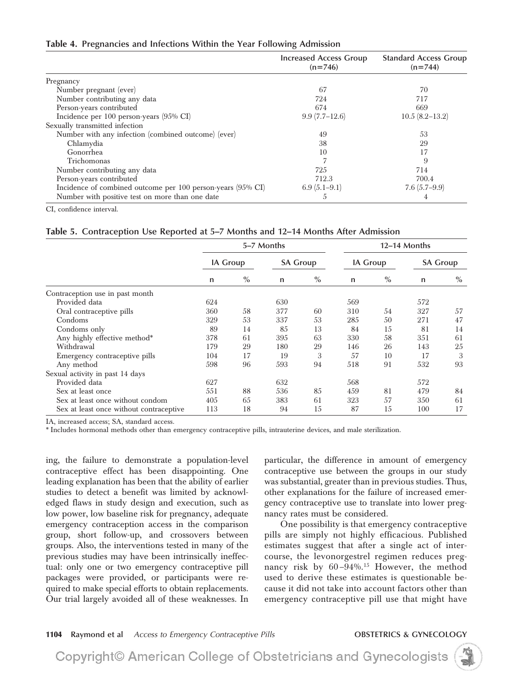#### **Table 4. Pregnancies and Infections Within the Year Following Admission**

|                                                             | <b>Increased Access Group</b><br>$(n=746)$ | <b>Standard Access Group</b><br>$(n=744)$ |
|-------------------------------------------------------------|--------------------------------------------|-------------------------------------------|
| Pregnancy                                                   |                                            |                                           |
| Number pregnant (ever)                                      | 67                                         | 70                                        |
| Number contributing any data                                | 724                                        | 717                                       |
| Person-years contributed                                    | 674                                        | 669                                       |
| Incidence per $100$ person-years $(95\% \text{ CI})$        | $9.9(7.7-12.6)$                            | $10.5(8.2 - 13.2)$                        |
| Sexually transmitted infection                              |                                            |                                           |
| Number with any infection (combined outcome) (ever)         | 49                                         | 53                                        |
| Chlamydia                                                   | 38                                         | 29                                        |
| Gonorrhea                                                   | 10                                         | 17                                        |
| Trichomonas                                                 |                                            | 9                                         |
| Number contributing any data                                | 725                                        | 714                                       |
| Person-years contributed                                    | 712.3                                      | 700.4                                     |
| Incidence of combined outcome per 100 person-years (95% CI) | $6.9(5.1-9.1)$                             | $7.6(5.7-9.9)$                            |
| Number with positive test on more than one date             | 5                                          | 4                                         |

CI, confidence interval.

#### **Table 5. Contraception Use Reported at 5–7 Months and 12–14 Months After Admission**

|                                         | 5–7 Months      |      |                 |      | 12–14 Months    |      |                 |      |
|-----------------------------------------|-----------------|------|-----------------|------|-----------------|------|-----------------|------|
|                                         | <b>IA Group</b> |      | <b>SA Group</b> |      | <b>IA Group</b> |      | <b>SA Group</b> |      |
|                                         | n               | $\%$ | n               | $\%$ | n               | $\%$ | n               | $\%$ |
| Contraception use in past month         |                 |      |                 |      |                 |      |                 |      |
| Provided data                           | 624             |      | 630             |      | 569             |      | 572             |      |
| Oral contraceptive pills                | 360             | 58   | 377             | 60   | 310             | 54   | 327             | 57   |
| Condoms                                 | 329             | 53   | 337             | 53   | 285             | 50   | 271             | 47   |
| Condoms only                            | 89              | 14   | 85              | 13   | 84              | 15   | 81              | 14   |
| Any highly effective method*            | 378             | 61   | 395             | 63   | 330             | 58   | 351             | 61   |
| Withdrawal                              | 179             | 29   | 180             | 29   | 146             | 26   | 143             | 25   |
| Emergency contraceptive pills           | 104             | 17   | 19              | 3    | 57              | 10   | 17              | 3    |
| Any method                              | 598             | 96   | 593             | 94   | 518             | 91   | 532             | 93   |
| Sexual activity in past 14 days         |                 |      |                 |      |                 |      |                 |      |
| Provided data                           | 627             |      | 632             |      | 568             |      | 572             |      |
| Sex at least once                       | 551             | 88   | 536             | 85   | 459             | 81   | 479             | 84   |
| Sex at least once without condom        | 405             | 65   | 383             | 61   | 323             | 57   | 350             | 61   |
| Sex at least once without contraceptive | 113             | 18   | 94              | 15   | 87              | 15   | 100             | 17   |

IA, increased access; SA, standard access.

\* Includes hormonal methods other than emergency contraceptive pills, intrauterine devices, and male sterilization.

ing, the failure to demonstrate a population-level contraceptive effect has been disappointing. One leading explanation has been that the ability of earlier studies to detect a benefit was limited by acknowledged flaws in study design and execution, such as low power, low baseline risk for pregnancy, adequate emergency contraception access in the comparison group, short follow-up, and crossovers between groups. Also, the interventions tested in many of the previous studies may have been intrinsically ineffectual: only one or two emergency contraceptive pill packages were provided, or participants were required to make special efforts to obtain replacements. Our trial largely avoided all of these weaknesses. In particular, the difference in amount of emergency contraceptive use between the groups in our study was substantial, greater than in previous studies. Thus, other explanations for the failure of increased emergency contraceptive use to translate into lower pregnancy rates must be considered.

One possibility is that emergency contraceptive pills are simply not highly efficacious. Published estimates suggest that after a single act of intercourse, the levonorgestrel regimen reduces pregnancy risk by  $60 - 94\%$ .<sup>15</sup> However, the method used to derive these estimates is questionable because it did not take into account factors other than emergency contraceptive pill use that might have

### **1104 Raymond et al** *Access to Emergency Contraceptive Pills* **OBSTETRICS & GYNECOLOGY**

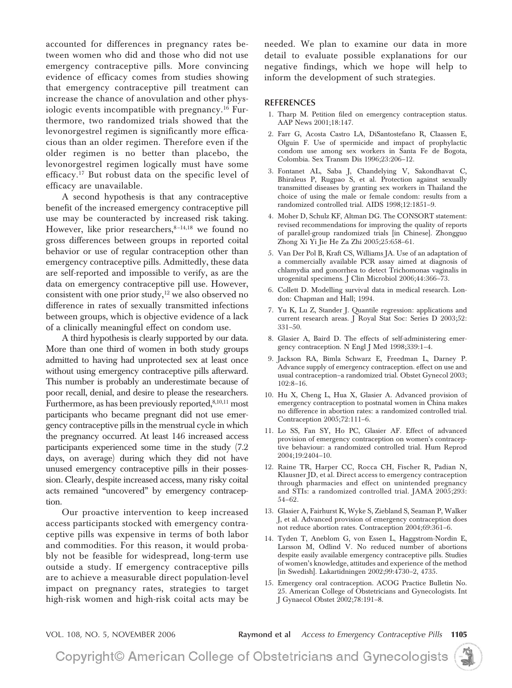accounted for differences in pregnancy rates between women who did and those who did not use emergency contraceptive pills. More convincing evidence of efficacy comes from studies showing that emergency contraceptive pill treatment can increase the chance of anovulation and other physiologic events incompatible with pregnancy.<sup>16</sup> Furthermore, two randomized trials showed that the levonorgestrel regimen is significantly more efficacious than an older regimen. Therefore even if the older regimen is no better than placebo, the levonorgestrel regimen logically must have some efficacy.17 But robust data on the specific level of efficacy are unavailable.

A second hypothesis is that any contraceptive benefit of the increased emergency contraceptive pill use may be counteracted by increased risk taking. However, like prior researchers, $8-14,18$  we found no gross differences between groups in reported coital behavior or use of regular contraception other than emergency contraceptive pills. Admittedly, these data are self-reported and impossible to verify, as are the data on emergency contraceptive pill use. However, consistent with one prior study, $12$  we also observed no difference in rates of sexually transmitted infections between groups, which is objective evidence of a lack of a clinically meaningful effect on condom use.

A third hypothesis is clearly supported by our data. More than one third of women in both study groups admitted to having had unprotected sex at least once without using emergency contraceptive pills afterward. This number is probably an underestimate because of poor recall, denial, and desire to please the researchers. Furthermore, as has been previously reported, 8,10,11 most participants who became pregnant did not use emergency contraceptive pills in the menstrual cycle in which the pregnancy occurred. At least 146 increased access participants experienced some time in the study (7.2 days, on average) during which they did not have unused emergency contraceptive pills in their possession. Clearly, despite increased access, many risky coital acts remained "uncovered" by emergency contraception.

Our proactive intervention to keep increased access participants stocked with emergency contraceptive pills was expensive in terms of both labor and commodities. For this reason, it would probably not be feasible for widespread, long-term use outside a study. If emergency contraceptive pills are to achieve a measurable direct population-level impact on pregnancy rates, strategies to target high-risk women and high-risk coital acts may be

needed. We plan to examine our data in more detail to evaluate possible explanations for our negative findings, which we hope will help to inform the development of such strategies.

#### **REFERENCES**

- 1. Tharp M. Petition filed on emergency contraception status. AAP News 2001;18:147.
- 2. Farr G, Acosta Castro LA, DiSantostefano R, Claassen E, Olguin F. Use of spermicide and impact of prophylactic condom use among sex workers in Santa Fe de Bogota, Colombia. Sex Transm Dis 1996;23:206–12.
- 3. Fontanet AL, Saba J, Chandelying V, Sakondhavat C, Bhiraleus P, Rugpao S, et al. Protection against sexually transmitted diseases by granting sex workers in Thailand the choice of using the male or female condom: results from a randomized controlled trial. AIDS 1998;12:1851–9.
- 4. Moher D, Schulz KF, Altman DG. The CONSORT statement: revised recommendations for improving the quality of reports of parallel-group randomized trials [in Chinese]. Zhongguo Zhong Xi Yi Jie He Za Zhi 2005;25:658–61.
- 5. Van Der Pol B, Kraft CS, Williams JA. Use of an adaptation of a commercially available PCR assay aimed at diagnosis of chlamydia and gonorrhea to detect Trichomonas vaginalis in urogenital specimens. J Clin Microbiol 2006;44:366–73.
- 6. Collett D. Modelling survival data in medical research. London: Chapman and Hall; 1994.
- 7. Yu K, Lu Z, Stander J. Quantile regression: applications and current research areas. J Royal Stat Soc: Series D 2003;52: 331–50.
- 8. Glasier A, Baird D. The effects of self-administering emergency contraception. N Engl J Med 1998;339:1–4.
- 9. Jackson RA, Bimla Schwarz E, Freedman L, Darney P. Advance supply of emergency contraception. effect on use and usual contraception–a randomized trial. Obstet Gynecol 2003;  $102:8-16$ .
- 10. Hu X, Cheng L, Hua X, Glasier A. Advanced provision of emergency contraception to postnatal women in China makes no difference in abortion rates: a randomized controlled trial. Contraception 2005;72:111–6.
- 11. Lo SS, Fan SY, Ho PC, Glasier AF. Effect of advanced provision of emergency contraception on women's contraceptive behaviour: a randomized controlled trial. Hum Reprod 2004;19:2404–10.
- 12. Raine TR, Harper CC, Rocca CH, Fischer R, Padian N, Klausner JD, et al. Direct access to emergency contraception through pharmacies and effect on unintended pregnancy and STIs: a randomized controlled trial. JAMA 2005;293: 54–62.
- 13. Glasier A, Fairhurst K, Wyke S, Ziebland S, Seaman P, Walker J, et al. Advanced provision of emergency contraception does not reduce abortion rates. Contraception 2004;69:361–6.
- 14. Tyden T, Aneblom G, von Essen L, Haggstrom-Nordin E, Larsson M, Odlind V. No reduced number of abortions despite easily available emergency contraceptive pills. Studies of women's knowledge, attitudes and experience of the method [in Swedish]. Lakartidningen 2002;99:4730–2, 4735.
- 15. Emergency oral contraception. ACOG Practice Bulletin No. 25. American College of Obstetricians and Gynecologists. Int J Gynaecol Obstet 2002;78:191–8.

VOL. 108, NO. 5, NOVEMBER 2006 **Raymond et al** *Access to Emergency Contraceptive Pills* **1105**